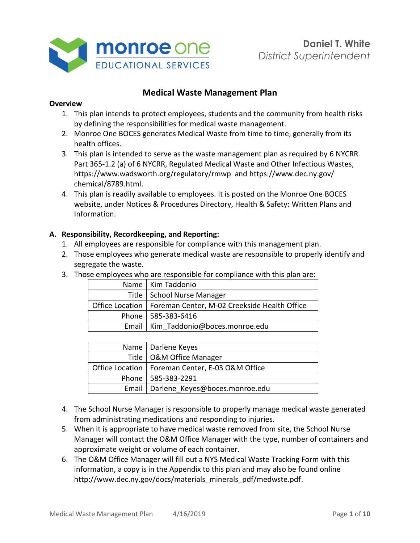

## **Medical Waste Management Plan**

#### **Overview**

- 1. This plan intends to protect employees, students and the community from health risks by defining the responsibilities for medical waste management.
- 2. Monroe One BOCES generates Medical Waste from time to time, generally from its health offices.
- 3. This plan is intended to serve as the waste management plan as required by 6 NYCRR Part 365-1.2 (a) of 6 NYCRR, Regulated Medical Waste and Other Infectious Wastes, https://www.wadsworth.org/regulatory/rmwp and https://www.dec.ny.gov/ chemical/8789.html.
- 4. This plan is readily available to employees. It is posted on the Monroe One BOCES website, under Notices & Procedures Directory, Health & Safety: Written Plans and Information.

#### **A. Responsibility, Recordkeeping, and Reporting:**

- 1. All employees are responsible for compliance with this management plan.
- 2. Those employees who generate medical waste are responsible to properly identify and segregate the waste.
- 3. Those employees who are responsible for compliance with this plan are:

| Name   Kim Taddonio                                            |
|----------------------------------------------------------------|
| Title   School Nurse Manager                                   |
| Office Location   Foreman Center, M-02 Creekside Health Office |
| Phone   585-383-6416                                           |
| Email   Kim Taddonio@boces.monroe.edu                          |

| Name   Darlene Keyes                              |
|---------------------------------------------------|
| Title   O&M Office Manager                        |
| Office Location   Foreman Center, E-03 O&M Office |
| Phone   585-383-2291                              |
| Email   Darlene Keyes@boces.monroe.edu            |

- 4. The School Nurse Manager is responsible to properly manage medical waste generated from administrating medications and responding to injuries.
- 5. When it is appropriate to have medical waste removed from site, the School Nurse Manager will contact the O&M Office Manager with the type, number of containers and approximate weight or volume of each container.
- 6. The O&M Office Manager will fill out a NYS Medical Waste Tracking Form with this information, a copy is in the Appendix to this plan and may also be found online http://www.dec.ny.gov/docs/materials\_minerals\_pdf/medwste.pdf.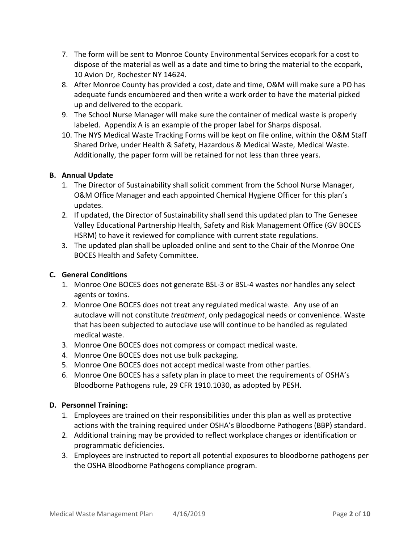- 7. The form will be sent to Monroe County Environmental Services ecopark for a cost to dispose of the material as well as a date and time to bring the material to the ecopark, 10 Avion Dr, Rochester NY 14624.
- 8. After Monroe County has provided a cost, date and time, O&M will make sure a PO has adequate funds encumbered and then write a work order to have the material picked up and delivered to the ecopark.
- 9. The School Nurse Manager will make sure the container of medical waste is properly labeled. Appendix A is an example of the proper label for Sharps disposal.
- 10. The NYS Medical Waste Tracking Forms will be kept on file online, within the O&M Staff Shared Drive, under Health & Safety, Hazardous & Medical Waste, Medical Waste. Additionally, the paper form will be retained for not less than three years.

### **B. Annual Update**

- 1. The Director of Sustainability shall solicit comment from the School Nurse Manager, O&M Office Manager and each appointed Chemical Hygiene Officer for this plan's updates.
- 2. If updated, the Director of Sustainability shall send this updated plan to The Genesee Valley Educational Partnership Health, Safety and Risk Management Office (GV BOCES HSRM) to have it reviewed for compliance with current state regulations.
- 3. The updated plan shall be uploaded online and sent to the Chair of the Monroe One BOCES Health and Safety Committee.

### **C. General Conditions**

- 1. Monroe One BOCES does not generate BSL-3 or BSL-4 wastes nor handles any select agents or toxins.
- 2. Monroe One BOCES does not treat any regulated medical waste. Any use of an autoclave will not constitute *treatment*, only pedagogical needs or convenience. Waste that has been subjected to autoclave use will continue to be handled as regulated medical waste.
- 3. Monroe One BOCES does not compress or compact medical waste.
- 4. Monroe One BOCES does not use bulk packaging.
- 5. Monroe One BOCES does not accept medical waste from other parties.
- 6. Monroe One BOCES has a safety plan in place to meet the requirements of OSHA's Bloodborne Pathogens rule, 29 CFR 1910.1030, as adopted by PESH.

### **D. Personnel Training:**

- 1. Employees are trained on their responsibilities under this plan as well as protective actions with the training required under OSHA's Bloodborne Pathogens (BBP) standard.
- 2. Additional training may be provided to reflect workplace changes or identification or programmatic deficiencies.
- 3. Employees are instructed to report all potential exposures to bloodborne pathogens per the OSHA Bloodborne Pathogens compliance program.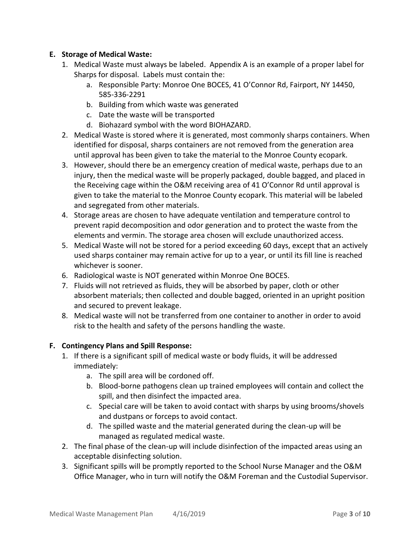### **E. Storage of Medical Waste:**

- 1. Medical Waste must always be labeled. Appendix A is an example of a proper label for Sharps for disposal. Labels must contain the:
	- a. Responsible Party: Monroe One BOCES, 41 O'Connor Rd, Fairport, NY 14450, 585-336-2291
	- b. Building from which waste was generated
	- c. Date the waste will be transported
	- d. Biohazard symbol with the word BIOHAZARD.
- 2. Medical Waste is stored where it is generated, most commonly sharps containers. When identified for disposal, sharps containers are not removed from the generation area until approval has been given to take the material to the Monroe County ecopark.
- 3. However, should there be an emergency creation of medical waste, perhaps due to an injury, then the medical waste will be properly packaged, double bagged, and placed in the Receiving cage within the O&M receiving area of 41 O'Connor Rd until approval is given to take the material to the Monroe County ecopark. This material will be labeled and segregated from other materials.
- 4. Storage areas are chosen to have adequate ventilation and temperature control to prevent rapid decomposition and odor generation and to protect the waste from the elements and vermin. The storage area chosen will exclude unauthorized access.
- 5. Medical Waste will not be stored for a period exceeding 60 days, except that an actively used sharps container may remain active for up to a year, or until its fill line is reached whichever is sooner.
- 6. Radiological waste is NOT generated within Monroe One BOCES.
- 7. Fluids will not retrieved as fluids, they will be absorbed by paper, cloth or other absorbent materials; then collected and double bagged, oriented in an upright position and secured to prevent leakage.
- 8. Medical waste will not be transferred from one container to another in order to avoid risk to the health and safety of the persons handling the waste.

### **F. Contingency Plans and Spill Response:**

- 1. If there is a significant spill of medical waste or body fluids, it will be addressed immediately:
	- a. The spill area will be cordoned off.
	- b. Blood-borne pathogens clean up trained employees will contain and collect the spill, and then disinfect the impacted area.
	- c. Special care will be taken to avoid contact with sharps by using brooms/shovels and dustpans or forceps to avoid contact.
	- d. The spilled waste and the material generated during the clean-up will be managed as regulated medical waste.
- 2. The final phase of the clean-up will include disinfection of the impacted areas using an acceptable disinfecting solution.
- 3. Significant spills will be promptly reported to the School Nurse Manager and the O&M Office Manager, who in turn will notify the O&M Foreman and the Custodial Supervisor.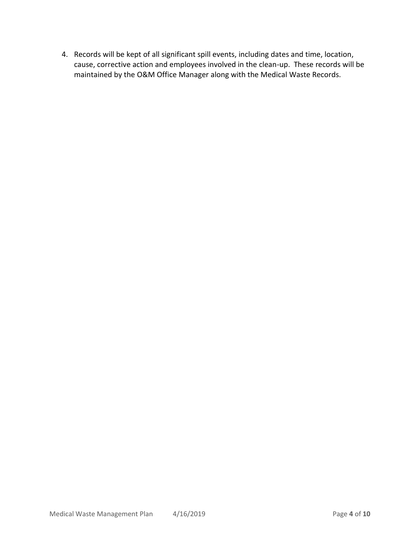4. Records will be kept of all significant spill events, including dates and time, location, cause, corrective action and employees involved in the clean-up. These records will be maintained by the O&M Office Manager along with the Medical Waste Records.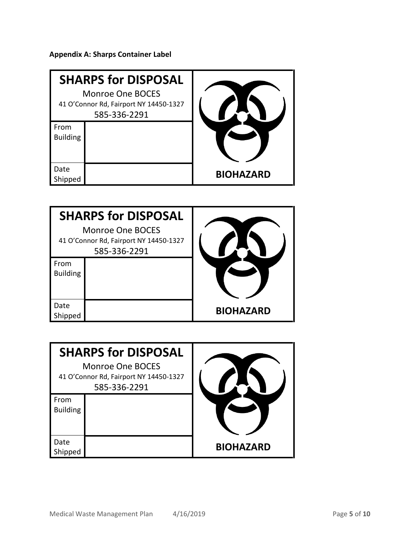**Appendix A: Sharps Container Label**

|                         | <b>SHARPS for DISPOSAL</b><br><b>Monroe One BOCES</b><br>41 O'Connor Rd, Fairport NY 14450-1327<br>585-336-2291 |                  |
|-------------------------|-----------------------------------------------------------------------------------------------------------------|------------------|
| From<br><b>Building</b> |                                                                                                                 |                  |
| Date<br>Shipped         |                                                                                                                 | <b>BIOHAZARD</b> |

|                         | <b>SHARPS for DISPOSAL</b>                                                        |                  |
|-------------------------|-----------------------------------------------------------------------------------|------------------|
|                         | <b>Monroe One BOCES</b><br>41 O'Connor Rd, Fairport NY 14450-1327<br>585-336-2291 |                  |
| From<br><b>Building</b> |                                                                                   |                  |
| Date<br>Shipped         |                                                                                   | <b>BIOHAZARD</b> |

|                                        | <b>SHARPS for DISPOSAL</b> |                  |
|----------------------------------------|----------------------------|------------------|
|                                        | Monroe One BOCES           |                  |
| 41 O'Connor Rd, Fairport NY 14450-1327 |                            |                  |
|                                        | 585-336-2291               |                  |
| From                                   |                            |                  |
| <b>Building</b>                        |                            |                  |
|                                        |                            |                  |
|                                        |                            |                  |
| Date                                   |                            |                  |
| Shipped                                |                            | <b>BIOHAZARD</b> |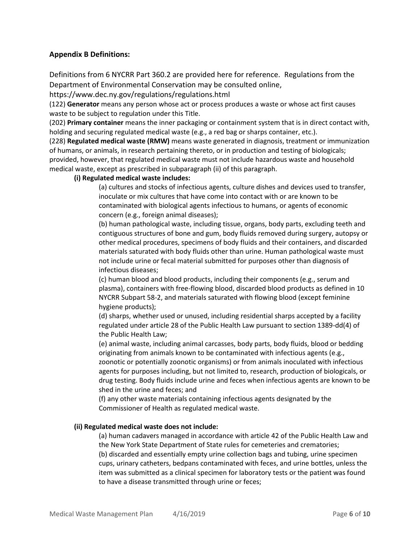#### **Appendix B Definitions:**

Definitions from 6 NYCRR Part 360.2 are provided here for reference. Regulations from the Department of Environmental Conservation may be consulted online,

https://www.dec.ny.gov/regulations/regulations.html

(122) **Generator** means any person whose act or process produces a waste or whose act first causes waste to be subject to regulation under this Title.

(202) **Primary container** means the inner packaging or containment system that is in direct contact with, holding and securing regulated medical waste (e.g., a red bag or sharps container, etc.).

(228) **Regulated medical waste (RMW)** means waste generated in diagnosis, treatment or immunization of humans, or animals, in research pertaining thereto, or in production and testing of biologicals; provided, however, that regulated medical waste must not include hazardous waste and household medical waste, except as prescribed in subparagraph (ii) of this paragraph.

#### **(i) Regulated medical waste includes:**

(a) cultures and stocks of infectious agents, culture dishes and devices used to transfer, inoculate or mix cultures that have come into contact with or are known to be contaminated with biological agents infectious to humans, or agents of economic concern (e.g., foreign animal diseases);

(b) human pathological waste, including tissue, organs, body parts, excluding teeth and contiguous structures of bone and gum, body fluids removed during surgery, autopsy or other medical procedures, specimens of body fluids and their containers, and discarded materials saturated with body fluids other than urine. Human pathological waste must not include urine or fecal material submitted for purposes other than diagnosis of infectious diseases;

(c) human blood and blood products, including their components (e.g., serum and plasma), containers with free-flowing blood, discarded blood products as defined in 10 NYCRR Subpart 58-2, and materials saturated with flowing blood (except feminine hygiene products);

(d) sharps, whether used or unused, including residential sharps accepted by a facility regulated under article 28 of the Public Health Law pursuant to section 1389-dd(4) of the Public Health Law;

(e) animal waste, including animal carcasses, body parts, body fluids, blood or bedding originating from animals known to be contaminated with infectious agents (e.g., zoonotic or potentially zoonotic organisms) or from animals inoculated with infectious agents for purposes including, but not limited to, research, production of biologicals, or drug testing. Body fluids include urine and feces when infectious agents are known to be shed in the urine and feces; and

(f) any other waste materials containing infectious agents designated by the Commissioner of Health as regulated medical waste.

#### **(ii) Regulated medical waste does not include:**

(a) human cadavers managed in accordance with article 42 of the Public Health Law and the New York State Department of State rules for cemeteries and crematories; (b) discarded and essentially empty urine collection bags and tubing, urine specimen cups, urinary catheters, bedpans contaminated with feces, and urine bottles, unless the item was submitted as a clinical specimen for laboratory tests or the patient was found to have a disease transmitted through urine or feces;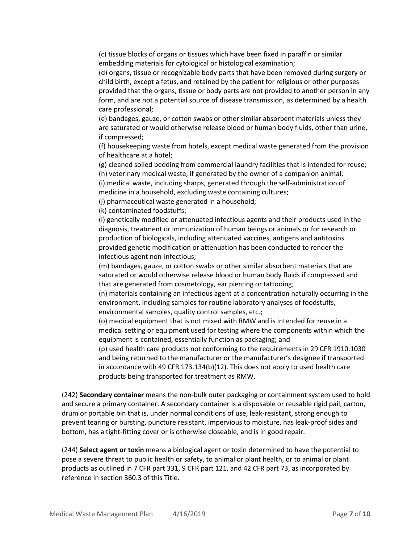(c) tissue blocks of organs or tissues which have been fixed in paraffin or similar embedding materials for cytological or histological examination;

(d) organs, tissue or recognizable body parts that have been removed during surgery or child birth, except a fetus, and retained by the patient for religious or other purposes provided that the organs, tissue or body parts are not provided to another person in any form, and are not a potential source of disease transmission, as determined by a health care professional;

(e) bandages, gauze, or cotton swabs or other similar absorbent materials unless they are saturated or would otherwise release blood or human body fluids, other than urine, if compressed;

(f) housekeeping waste from hotels, except medical waste generated from the provision of healthcare at a hotel;

(g) cleaned soiled bedding from commercial laundry facilities that is intended for reuse;

(h) veterinary medical waste, if generated by the owner of a companion animal;

(i) medical waste, including sharps, generated through the self-administration of medicine in a household, excluding waste containing cultures;

(j) pharmaceutical waste generated in a household;

(k) contaminated foodstuffs;

(l) genetically modified or attenuated infectious agents and their products used in the diagnosis, treatment or immunization of human beings or animals or for research or production of biologicals, including attenuated vaccines, antigens and antitoxins provided genetic modification or attenuation has been conducted to render the infectious agent non-infectious;

(m) bandages, gauze, or cotton swabs or other similar absorbent materials that are saturated or would otherwise release blood or human body fluids if compressed and that are generated from cosmetology, ear piercing or tattooing;

(n) materials containing an infectious agent at a concentration naturally occurring in the environment, including samples for routine laboratory analyses of foodstuffs, environmental samples, quality control samples, etc.;

(o) medical equipment that is not mixed with RMW and is intended for reuse in a medical setting or equipment used for testing where the components within which the equipment is contained, essentially function as packaging; and

(p) used health care products not conforming to the requirements in 29 CFR 1910.1030 and being returned to the manufacturer or the manufacturer's designee if transported in accordance with 49 CFR 173.134(b)(12). This does not apply to used health care products being transported for treatment as RMW.

(242) **Secondary container** means the non-bulk outer packaging or containment system used to hold and secure a primary container. A secondary container is a disposable or reusable rigid pail, carton, drum or portable bin that is, under normal conditions of use, leak-resistant, strong enough to prevent tearing or bursting, puncture resistant, impervious to moisture, has leak-proof sides and bottom, has a tight-fitting cover or is otherwise closeable, and is in good repair.

(244) **Select agent or toxin** means a biological agent or toxin determined to have the potential to pose a severe threat to public health or safety, to animal or plant health, or to animal or plant products as outlined in 7 CFR part 331, 9 CFR part 121, and 42 CFR part 73, as incorporated by reference in section 360.3 of this Title.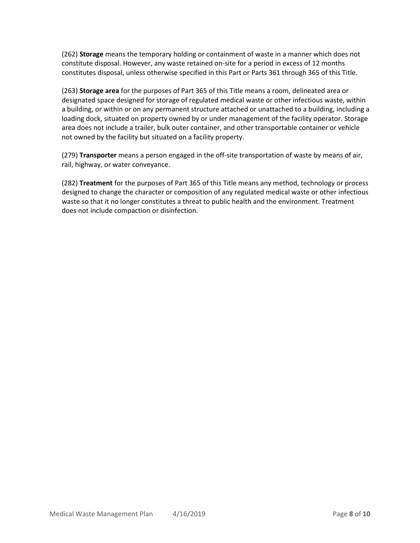(262) **Storage** means the temporary holding or containment of waste in a manner which does not constitute disposal. However, any waste retained on-site for a period in excess of 12 months constitutes disposal, unless otherwise specified in this Part or Parts 361 through 365 of this Title.

(263) **Storage area** for the purposes of Part 365 of this Title means a room, delineated area or designated space designed for storage of regulated medical waste or other infectious waste, within a building, or within or on any permanent structure attached or unattached to a building, including a loading dock, situated on property owned by or under management of the facility operator. Storage area does not include a trailer, bulk outer container, and other transportable container or vehicle not owned by the facility but situated on a facility property.

(279) **Transporter** means a person engaged in the off-site transportation of waste by means of air, rail, highway, or water conveyance.

(282) **Treatment** for the purposes of Part 365 of this Title means any method, technology or process designed to change the character or composition of any regulated medical waste or other infectious waste so that it no longer constitutes a threat to public health and the environment. Treatment does not include compaction or disinfection.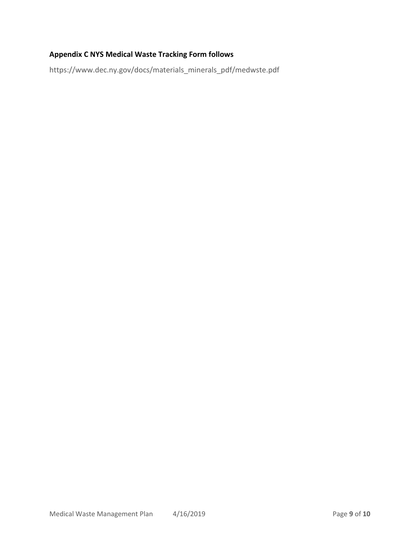# **Appendix C NYS Medical Waste Tracking Form follows**

https://www.dec.ny.gov/docs/materials\_minerals\_pdf/medwste.pdf